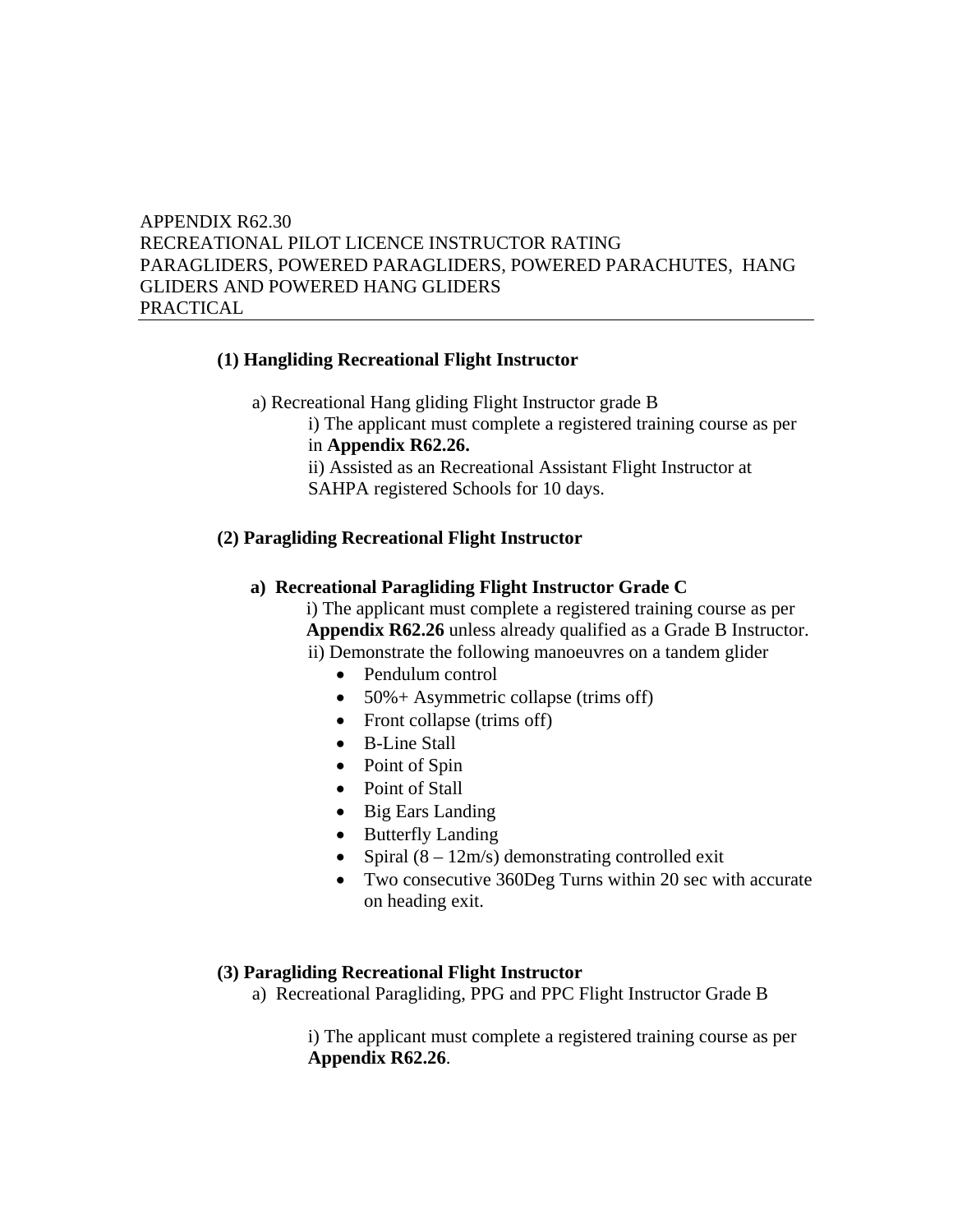# APPENDIX R62.30 RECREATIONAL PILOT LICENCE INSTRUCTOR RATING PARAGLIDERS, POWERED PARAGLIDERS, POWERED PARACHUTES, HANG GLIDERS AND POWERED HANG GLIDERS PRACTICAL

## **(1) Hangliding Recreational Flight Instructor**

- a) Recreational Hang gliding Flight Instructor grade B
	- i) The applicant must complete a registered training course as per
	- in **Appendix R62.26.**
	- ii) Assisted as an Recreational Assistant Flight Instructor at SAHPA registered Schools for 10 days.

### **(2) Paragliding Recreational Flight Instructor**

#### **a) Recreational Paragliding Flight Instructor Grade C**

i) The applicant must complete a registered training course as per **Appendix R62.26** unless already qualified as a Grade B Instructor.

- ii) Demonstrate the following manoeuvres on a tandem glider
	- Pendulum control
	- 50% + Asymmetric collapse (trims off)
	- Front collapse (trims off)
	- B-Line Stall
	- Point of Spin
	- Point of Stall
	- Big Ears Landing
	- Butterfly Landing
	- Spiral  $(8 12m/s)$  demonstrating controlled exit
	- Two consecutive 360Deg Turns within 20 sec with accurate on heading exit.

#### **(3) Paragliding Recreational Flight Instructor**

a) Recreational Paragliding, PPG and PPC Flight Instructor Grade B

i) The applicant must complete a registered training course as per **Appendix R62.26**.